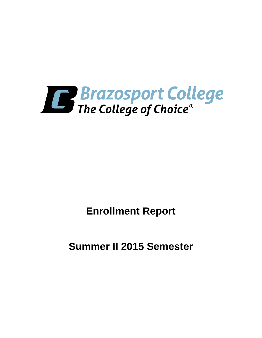

**Enrollment Report**

**Summer II 2015 Semester**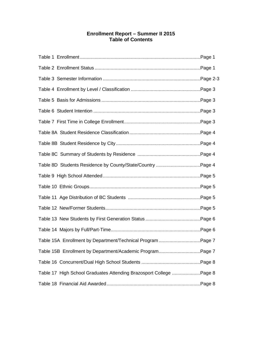# **Enrollment Report – Summer II 2015 Table of Contents**

| Table 15A Enrollment by Department/Technical Program Page 7        |  |
|--------------------------------------------------------------------|--|
| Table 15B Enrollment by Department/Academic ProgramPage 7          |  |
|                                                                    |  |
| Table 17 High School Graduates Attending Brazosport College Page 8 |  |
|                                                                    |  |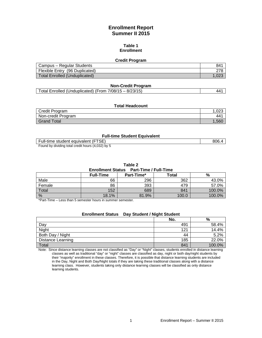# **Enrollment Report Summer II 2015**

### **Table 1 Enrollment**

#### **Credit Program**

| Campus – Regular Students      | 841  |
|--------------------------------|------|
| Flexible Entry (96 Duplicated) |      |
| Total Enrolled (Unduplicated)  | 1.02 |

### **Non-Credit Program**

| Total Enrolled (Unduplicated) (From 7/08/15 - 8/23/15)<br>441 |
|---------------------------------------------------------------|
|---------------------------------------------------------------|

## **Total Headcount**

| Credit Program     | .023            |
|--------------------|-----------------|
| Non-credit Program | 44 <sup>4</sup> |
| Grand Total        | .560            |

#### **Full-time Student Equivalent**

| Full-time student equivalent (FTSE)               | 806.4 |
|---------------------------------------------------|-------|
| Found by dividing total credit hours (4,032) by 5 |       |

#### **Table 2**

#### **Enrollment Status Part-Time / Full-Time**

|               | <b>Full-Time</b> | Part-Time* | Total | %      |  |  |
|---------------|------------------|------------|-------|--------|--|--|
| Male          | 66               | 296        | 362   | 43.0%  |  |  |
| Female        | 86               | 393        | 479   | 57.0%  |  |  |
| Total         | 152              | 689        | 841   | 100.0% |  |  |
| $\frac{0}{0}$ | 18.1%            | 81.9%      | 100.0 | 100.0% |  |  |

\*Part-Time – Less than 5 semester hours in summer semester.

# **Enrollment Status Day Student / Night Student**

|                   | No. | %      |
|-------------------|-----|--------|
| Day               | 491 | 58.4%  |
| Night             | 121 | 14.4%  |
| Both Day / Night  | 44  | 5.2%   |
| Distance Learning | 185 | 22.0%  |
| Total             | 841 | 100.0% |

Note: Since distance learning classes are not classified as "Day" or "Night" classes, students enrolled in distance learning classes as well as traditional "day" or "night" classes are classified as day, night or both day/night students by their "majority" enrollment in these classes. Therefore, it is possible that distance learning students are included in the Day, Night and Both Day/Night totals if they are taking these traditional classes along with a distance learning class. However, students taking only distance learning classes will be classified as only distance learning students.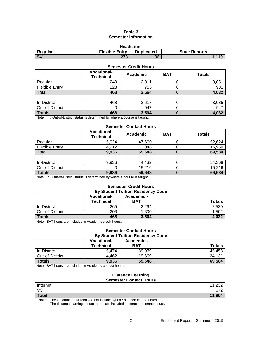## **Table 3 Semester Information**

| <b>Headcount</b>                                                              |     |    |       |  |  |
|-------------------------------------------------------------------------------|-----|----|-------|--|--|
| <b>Flexible Entry</b><br><b>Duplicated</b><br>Regular<br><b>State Reports</b> |     |    |       |  |  |
| 841                                                                           | 278 | 96 | 1.119 |  |  |

#### **Semester Credit Hours**

|                       | <b>Vocational-</b><br><b>Technical</b> | Academic | <b>BAT</b> | <b>Totals</b> |
|-----------------------|----------------------------------------|----------|------------|---------------|
| Regular               | 240                                    | 2.811    |            | 3,051         |
| <b>Flexible Entry</b> | 228                                    | 753      |            | 981           |
| Total                 | 468                                    | 3,564    |            | 4,032         |
|                       |                                        |          |            |               |

| <b>Totals</b>      | 468 | 3,564             |   | റാറ   |
|--------------------|-----|-------------------|---|-------|
|                    |     |                   |   |       |
| Out-of-District    |     | 947               |   | 947   |
| <b>In-District</b> | 468 | 2.617<br>$L, U$ . | ີ | 3,085 |

Note: In / Out-of-District status is determined by where a course is taught.

## **Semester Contact Hours**

|                       | <b>Vocational-</b><br><b>Technical</b> | Academic | <b>BAT</b> | <b>Totals</b>               |  |
|-----------------------|----------------------------------------|----------|------------|-----------------------------|--|
| Regular               | 5.024                                  | 47,600   |            | 52,624                      |  |
| <b>Flexible Entry</b> | 4,912                                  | 12,048   |            | 16,960                      |  |
| Total                 | 9,936                                  | 59,648   |            | 69,584                      |  |
|                       |                                        |          |            |                             |  |
| In-District           | 9,936                                  | 44,432   |            | 54,368                      |  |
| ________              | $\sim$                                 | .        |            | $\sim$ $\sim$ $\sim$ $\sim$ |  |

| <b>Totals</b>   | 9,936 | 59,648 |   | 69.584 |
|-----------------|-------|--------|---|--------|
| Out-of-District |       | 15,216 |   | .216   |
| וטווסוש־ווו     | ວ.ວ໐ບ | 77,704 | ບ | UT.JUU |

Note: In / Out-of-District status is determined by where a course is taught.

#### **Semester Credit Hours By Student Tuition Residency Code**

|                 | <b>Vocational-</b><br><b>Technical</b> | Academic -<br><b>BAT</b> | <b>Totals</b> |
|-----------------|----------------------------------------|--------------------------|---------------|
| In-District     | 265                                    | 2,264                    | 2,530         |
| Out-of-District | 203                                    | 1,300                    | 1.502         |
| <b>Totals</b>   | 468                                    | 3,564                    | 4,032         |

Note: BAT hours are included in Academic credit hours.

#### **Semester Contact Hours By Student Tuition Residency Code**

| *****************************<br>----- |                    |            |               |  |
|----------------------------------------|--------------------|------------|---------------|--|
|                                        | <b>Vocational-</b> | Academic - |               |  |
|                                        | <b>Technical</b>   | <b>BAT</b> | <b>Totals</b> |  |
| In-District                            | 5.474              | 39.979     | 45.453        |  |
| Out-of-District                        | 4.462              | 19,669     | 24,131        |  |
| <b>Totals</b>                          | 9,936              | 59,648     | 69,584        |  |

Note: BAT hours are included in Academic contact hours.

# **Distance Learning Semester Contact Hours**

| Internet     | $\overline{A}$ $\overline{A}$ $\overline{A}$<br>ےں ے, |
|--------------|-------------------------------------------------------|
| <b>VCT</b>   | 270<br>672                                            |
| <b>Total</b> | 11.001<br>. <b>.</b> .                                |

Note: These contact hour totals do not include hybrid / blended course hours.

The distance learning contact hours are included in semester contact hours.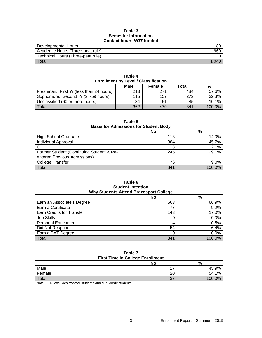### **Table 3 Semester Information Contact hours** *NOT* **funded**

| Developmental Hours               | 80  |  |
|-----------------------------------|-----|--|
| Academic Hours (Three-peat rule)  | 960 |  |
| Technical Hours (Three-peat rule) |     |  |
| Total                             |     |  |

| .<br><b>Enrollment by Level / Classification</b> |      |        |       |        |
|--------------------------------------------------|------|--------|-------|--------|
|                                                  | Male | Female | Total | %      |
| Freshman: First Yr (less than 24 hours)          | 213  | 271    | 484   | 57.6%  |
| Sophomore: Second Yr (24-59 hours)               | 115  | 157    | 272   | 32.3%  |
| Unclassified (60 or more hours)                  | 34   | 51     | 85    | 10.1%  |
| Total                                            | 362  | 479    | 841   | 100.0% |

**Table 4**

| .<br><b>Basis for Admissions for Student Body</b> |     |         |  |
|---------------------------------------------------|-----|---------|--|
|                                                   | No. | %       |  |
| <b>High School Graduate</b>                       | 118 | 14.0%   |  |
| Individual Approval                               | 384 | 45.7%   |  |
| G.E.D.                                            | 18  | 2.1%    |  |
| Former Student (Continuing Student & Re-          | 245 | 29.1%   |  |
| entered Previous Admissions)                      |     |         |  |
| <b>College Transfer</b>                           | 76  | $9.0\%$ |  |
| Total                                             | 841 | 100.0%  |  |

**Table 5**

**Table 6 Student Intention Why Students Attend Brazosport College**

|                                  | . . |        |
|----------------------------------|-----|--------|
|                                  | No. | %      |
| Earn an Associate's Degree       | 563 | 66.9%  |
| Earn a Certificate               | 77  | 9.2%   |
| <b>Earn Credits for Transfer</b> | 143 | 17.0%  |
| Job Skills                       |     | 0.0%   |
| <b>Personal Enrichment</b>       |     | 0.5%   |
| Did Not Respond                  | 54  | 6.4%   |
| Earn a BAT Degree                |     | 0.0%   |
| Total                            | 841 | 100.0% |

| Table 7                                 |  |  |
|-----------------------------------------|--|--|
| <b>First Time in College Enrollment</b> |  |  |
|                                         |  |  |

|                                                                     | No.                      | %      |  |
|---------------------------------------------------------------------|--------------------------|--------|--|
| Male                                                                | $\overline{\phantom{0}}$ | 45.9%  |  |
| Female                                                              | 20                       | 54.1%  |  |
| Total                                                               | 37                       | 100.0% |  |
| . <del>.</del><br>.<br>$\sim$<br>.<br>the control of the control of |                          |        |  |

Note: FTIC excludes transfer students and dual credit students.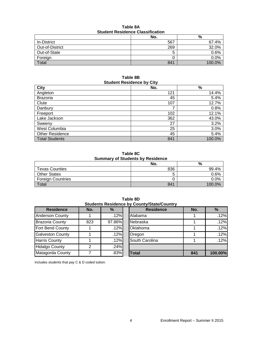| Table 8A                                |  |  |
|-----------------------------------------|--|--|
| <b>Student Residence Classification</b> |  |  |

|                    | No. | %       |  |
|--------------------|-----|---------|--|
| <b>In-District</b> | 567 | 67.4%   |  |
| Out-of-District    | 269 | 32.0%   |  |
| Out-of-State       | 5   | 0.6%    |  |
| Foreign            |     | $0.0\%$ |  |
| Total              | 841 | 100.0%  |  |

### **Table 8B Student Residence by City**

| <b>City</b>            | No. | $\%$   |  |  |
|------------------------|-----|--------|--|--|
| Angleton               | 121 | 14.4%  |  |  |
| <b>Brazoria</b>        | 45  | 5.4%   |  |  |
| Clute                  | 107 | 12.7%  |  |  |
| Danbury                | ⇁   | 0.8%   |  |  |
| Freeport               | 102 | 12.1%  |  |  |
| Lake Jackson           | 362 | 43.0%  |  |  |
| Sweeny                 | 27  | 3.2%   |  |  |
| West Columbia          | 25  | 3.0%   |  |  |
| <b>Other Residence</b> | 45  | 5.4%   |  |  |
| <b>Total Students</b>  | 841 | 100.0% |  |  |

**Table 8C Summary of Students by Residence**

| <b>UNITED YOU UNUSTED BY INCONDUCTION</b> |     |        |  |  |
|-------------------------------------------|-----|--------|--|--|
|                                           | No. | %      |  |  |
| <b>Texas Counties</b>                     | 836 | 99.4%  |  |  |
| <b>Other States</b>                       |     | 0.6%   |  |  |
| <b>Foreign Countries</b>                  |     | 0.0%   |  |  |
| Total                                     | 841 | 100.0% |  |  |

**Residence No. % Residence No. %** Anderson County | 1 | .12% Alabama | 1 | .12% Brazoria County | 823 | 97.86% Nebraska | 1 | .12% Fort Bend County 1 1 .12% Oklahoma 1 .12% Galveston County 1 1 .12% Oregon 1 1 .12% Harris County 1 1 .12% South Carolina 1 .12% Hidalgo County 2 2 24% Matagorda County 7 .83% **Total 841 100.00%**

**Table 8D Students Residence by County/State/Country**

Includes students that pay C & D coded tuition.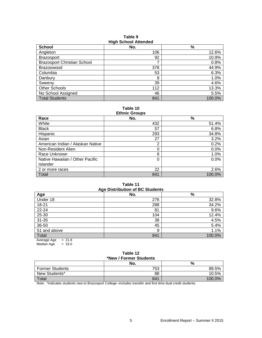| <b>High School Attenued</b>        |     |        |  |  |
|------------------------------------|-----|--------|--|--|
| <b>School</b>                      | No. | %      |  |  |
| Angleton                           | 106 | 12.6%  |  |  |
| <b>Brazosport</b>                  | 92  | 10.9%  |  |  |
| <b>Brazosport Christian School</b> |     | 0.8%   |  |  |
| Brazoswood                         | 378 | 44.9%  |  |  |
| Columbia                           | 53  | 6.3%   |  |  |
| Danbury                            | 8   | 1.0%   |  |  |
| Sweeny                             | 39  | 4.6%   |  |  |
| <b>Other Schools</b>               | 112 | 13.3%  |  |  |
| No School Assigned                 | 46  | 5.5%   |  |  |
| <b>Total Students</b>              | 841 | 100.0% |  |  |

**Table 9 High School Attended**

**Table 10**

| <b>Ethnic Groups</b>             |     |        |  |  |
|----------------------------------|-----|--------|--|--|
| Race                             | No. | $\%$   |  |  |
| White                            | 432 | 51.4%  |  |  |
| <b>Black</b>                     | 57  | 6.8%   |  |  |
| Hispanic                         | 293 | 34.8%  |  |  |
| Asian                            | 27  | 3.2%   |  |  |
| American Indian / Alaskan Native | 2   | 0.2%   |  |  |
| Non-Resident Alien               | 0   | 0.0%   |  |  |
| Race Unknown                     | 8   | 1.0%   |  |  |
| Native Hawaiian / Other Pacific  | 0   | 0.0%   |  |  |
| <b>Islander</b>                  |     |        |  |  |
| 2 or more races                  | 22  | 2.6%   |  |  |
| Total                            | 841 | 100.0% |  |  |

#### **Table 11 Age Distribution of BC Students**

| Age Distribution of BC Students      |     |        |  |  |  |
|--------------------------------------|-----|--------|--|--|--|
| Age                                  | No. | %      |  |  |  |
| Under 18                             | 276 | 32.8%  |  |  |  |
| 18-21                                | 288 | 34.2%  |  |  |  |
| 22-24                                | 81  | 9.6%   |  |  |  |
| 25-30                                | 104 | 12.4%  |  |  |  |
| $31 - 35$                            | 38  | 4.5%   |  |  |  |
| 36-50                                | 45  | 5.4%   |  |  |  |
| 51 and above                         | 9   | 1.1%   |  |  |  |
| Total                                | 841 | 100.0% |  |  |  |
| $\Lambda$ $\Lambda$<br>$\sim$ $\sim$ |     |        |  |  |  |

Average Age = 21.8 Median Age  $= 19.0$ 

# **Table 12 \*New / Former Students**

|                        | No.       | %      |  |  |
|------------------------|-----------|--------|--|--|
| <b>Former Students</b> | 753       | 89.5%  |  |  |
| New Students*          | 88        | 10.5%  |  |  |
| Total                  | 841       | 100.0% |  |  |
|                        | $ -$<br>. |        |  |  |

Note: \*Indicates students new to Brazosport College--includes transfer and first time dual credit students.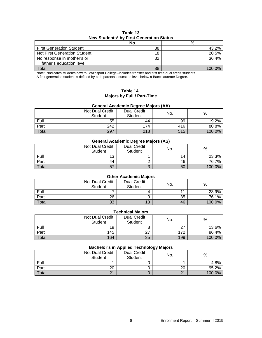# **Table 13 New Students\* by First Generation Status**

|                                 | No. | %      |
|---------------------------------|-----|--------|
| <b>First Generation Student</b> | 38  | 43.2%  |
| Not First Generation Student    | 18  | 20.5%  |
| No response in mother's or      | 32  | 36.4%  |
| father's education level        |     |        |
| Total                           | 88  | 100 0% |

Note: \*Indicates students new to Brazosport College--includes transfer and first time dual credit students. A first generation student is defined by both parents' education level below a Baccalaureate Degree.

## **Table 14 Majors by Full / Part-Time**

# **General Academic Degree Majors (AA)**

|       | Not Dual Credit<br>Student | <b>Dual Credit</b><br>Student | No. | %      |
|-------|----------------------------|-------------------------------|-----|--------|
| Full  | 55                         | 44                            | 99  | 19.2%  |
| Part  | 242                        | 174                           | 416 | 80.8%  |
| Total | 297                        | 218                           | 515 | 100.0% |

## **General Academic Degree Majors (AS)**

|       | <b>Not Dual Credit</b><br><b>Student</b> | <b>Dual Credit</b><br>Student | No. | %      |
|-------|------------------------------------------|-------------------------------|-----|--------|
| Full  | 12                                       |                               | 14  | 23.3%  |
| Part  | 44                                       |                               | 46  | 76.7%  |
| Total | 57                                       |                               | 60  | 100.0% |

# **Other Academic Majors**

|       | Not Dual Credit<br><b>Student</b> | <b>Dual Credit</b><br>Student | No. | %      |
|-------|-----------------------------------|-------------------------------|-----|--------|
| Full  |                                   |                               |     | 23.9%  |
| Part  | 26                                |                               | 35  | 76.1%  |
| Total | 33                                | 13                            | 46  | 100.0% |

### **Technical Majors**

|       | Not Dual Credit<br>Student | <b>Dual Credit</b><br>Student | No. | %      |
|-------|----------------------------|-------------------------------|-----|--------|
| Full  | 19                         |                               |     | 13.6%  |
| Part  | 145                        | ا ہے                          | 172 | 86.4%  |
| Total | 164                        | 35                            | 199 | 100.0% |

# **Bachelor's in Applied Technology Majors**

|       |                            |                               | ັ   |        |
|-------|----------------------------|-------------------------------|-----|--------|
|       | Not Dual Credit<br>Student | <b>Dual Credit</b><br>Student | No. | %      |
| Full  |                            |                               |     | 4.8%   |
| Part  | 20                         |                               | 20  | 95.2%  |
| Total | 21                         |                               | 21  | 100.0% |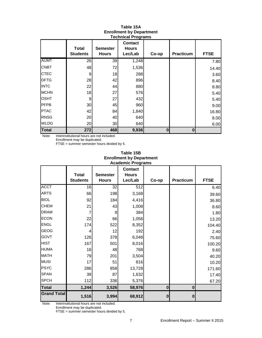|              | <b>Total</b><br><b>Students</b> | <b>Semester</b><br><b>Hours</b> | <b>Contact</b><br><b>Hours</b><br>Lec/Lab | Co-op    | Practicum | <b>FTSE</b> |
|--------------|---------------------------------|---------------------------------|-------------------------------------------|----------|-----------|-------------|
| <b>AUMT</b>  | 26                              | 39                              | 1,248                                     |          |           | 7.80        |
| <b>CNBT</b>  | 48                              | 72                              | 1,536                                     |          |           | 14.40       |
| <b>CTEC</b>  | 9                               | 18                              | 288                                       |          |           | 3.60        |
| <b>DFTG</b>  | 28                              | 42                              | 896                                       |          |           | 8.40        |
| <b>INTC</b>  | 22                              | 44                              | 880                                       |          |           | 8.80        |
| <b>MCHN</b>  | 18                              | 27                              | 576                                       |          |           | 5.40        |
| <b>OSHT</b>  | 9                               | 27                              | 432                                       |          |           | 5.40        |
| PFPB         | 30                              | 45                              | 960                                       |          |           | 9.00        |
| <b>PTAC</b>  | 42                              | 84                              | 1,840                                     |          |           | 16.80       |
| <b>RNSG</b>  | 20                              | 40                              | 640                                       |          |           | 8.00        |
| <b>WLDG</b>  | 20                              | 30                              | 640                                       |          |           | 6.00        |
| <b>Total</b> | 272                             | 468                             | 9,936                                     | $\bf{0}$ | 0         |             |

### **Table 15A Enrollment by Department Technical Programs**

Note: Interinstitutional hours are not included. Enrollment may be duplicated.

FTSE = summer semester hours divided by 5.

## **Table 15B Enrollment by Department Academic Programs**

|                    | <b>Total</b>    | <b>Semester</b> | <b>Contact</b><br><b>Hours</b> |          |           |             |
|--------------------|-----------------|-----------------|--------------------------------|----------|-----------|-------------|
|                    | <b>Students</b> | <b>Hours</b>    | Lec/Lab                        | Co-op    | Practicum | <b>FTSE</b> |
| <b>ACCT</b>        | 16              | 32              | 512                            |          |           | 6.40        |
| <b>ARTS</b>        | 66              | 198             | 3,168                          |          |           | 39.60       |
| <b>BIOL</b>        | 92              | 184             | 4,416                          |          |           | 36.80       |
| <b>CHEM</b>        | 21              | 43              | 1,008                          |          |           | 8.60        |
| <b>DRAM</b>        | 7               | 9               | 384                            |          |           | 1.80        |
| <b>ECON</b>        | 22              | 66              | 1,056                          |          |           | 13.20       |
| <b>ENGL</b>        | 174             | 522             | 8,352                          |          |           | 104.40      |
| <b>GEOG</b>        | 4               | 12              | 192                            |          |           | 2.40        |
| <b>GOVT</b>        | 126             | 378             | 6,048                          |          |           | 75.60       |
| <b>HIST</b>        | 167             | 501             | 8,016                          |          |           | 100.20      |
| <b>HUMA</b>        | 16              | 48              | 768                            |          |           | 9.60        |
| <b>MATH</b>        | 79              | 201             | 3,504                          |          |           | 40.20       |
| <b>MUSI</b>        | 17              | 51              | 816                            |          |           | 10.20       |
| <b>PSYC</b>        | 286             | 858             | 13,728                         |          |           | 171.60      |
| <b>SPAN</b>        | 39              | 87              | 1,632                          |          |           | 17.40       |
| <b>SPCH</b>        | 112             | 336             | 5,376                          |          |           | 67.20       |
| <b>Total</b>       | 1,244           | 3,526           | 58,976                         | $\bf{0}$ | $\bf{0}$  |             |
| <b>Grand Total</b> | 1,516           | 3,994           | 68,912                         | $\bf{0}$ | $\bf{0}$  |             |

Note: Interinstitutional hours are not included.

Enrollment may be duplicated.

FTSE = summer semester hours divided by 5.